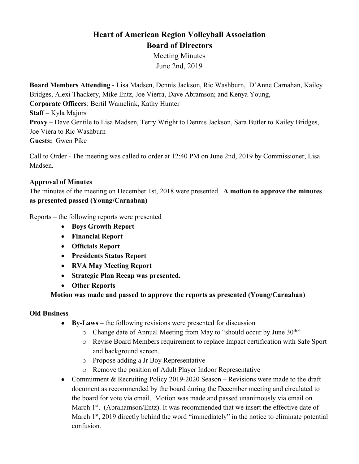# **Heart of American Region Volleyball Association Board of Directors**

Meeting Minutes June 2nd, 2019

**Board Members Attending** - Lisa Madsen, Dennis Jackson, Ric Washburn, D'Anne Carnahan, Kailey Bridges, Alexi Thackery, Mike Entz, Joe Vierra, Dave Abramson; and Kenya Young, **Corporate Officers**: Bertil Wamelink, Kathy Hunter **Staff** – Kyla Majors **Proxy** – Dave Gentile to Lisa Madsen, Terry Wright to Dennis Jackson, Sara Butler to Kailey Bridges, Joe Viera to Ric Washburn **Guests:** Gwen Pike

Call to Order - The meeting was called to order at 12:40 PM on June 2nd, 2019 by Commissioner, Lisa Madsen.

## **Approval of Minutes**

The minutes of the meeting on December 1st, 2018 were presented. **A motion to approve the minutes as presented passed (Young/Carnahan)** 

Reports – the following reports were presented

- **Boys Growth Report**
- **Financial Report**
- **Officials Report**
- **Presidents Status Report**
- **RVA May Meeting Report**
- **Strategic Plan Recap was presented.**
- **Other Reports**

#### **Motion was made and passed to approve the reports as presented (Young/Carnahan)**

#### **Old Business**

- **By-Laws** the following revisions were presented for discussion
	- o Change date of Annual Meeting from May to "should occur by June 30<sup>th</sup>"
	- o Revise Board Members requirement to replace Impact certification with Safe Sport and background screen.
	- o Propose adding a Jr Boy Representative
	- o Remove the position of Adult Player Indoor Representative
- Commitment & Recruiting Policy 2019-2020 Season Revisions were made to the draft document as recommended by the board during the December meeting and circulated to the board for vote via email. Motion was made and passed unanimously via email on March 1<sup>st</sup>. (Abrahamson/Entz). It was recommended that we insert the effective date of March  $1<sup>st</sup>$ , 2019 directly behind the word "immediately" in the notice to eliminate potential confusion.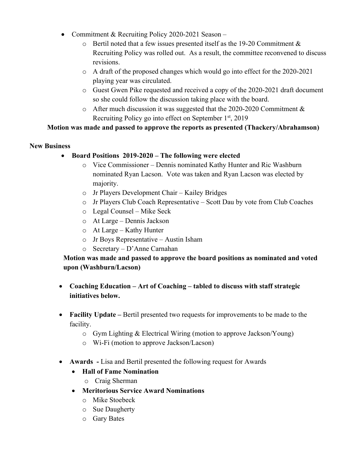- Commitment & Recruiting Policy 2020-2021 Season
	- $\circ$  Bertil noted that a few issues presented itself as the 19-20 Commitment & Recruiting Policy was rolled out. As a result, the committee reconvened to discuss revisions.
	- $\circ$  A draft of the proposed changes which would go into effect for the 2020-2021 playing year was circulated.
	- o Guest Gwen Pike requested and received a copy of the 2020-2021 draft document so she could follow the discussion taking place with the board.
	- $\circ$  After much discussion it was suggested that the 2020-2020 Commitment & Recruiting Policy go into effect on September  $1<sup>st</sup>$ , 2019

### **Motion was made and passed to approve the reports as presented (Thackery/Abrahamson)**

#### **New Business**

- **Board Positions 2019-2020 – The following were elected**
	- o Vice Commissioner Dennis nominated Kathy Hunter and Ric Washburn nominated Ryan Lacson. Vote was taken and Ryan Lacson was elected by majority.
	- o Jr Players Development Chair Kailey Bridges
	- o Jr Players Club Coach Representative Scott Dau by vote from Club Coaches
	- o Legal Counsel Mike Seck
	- o At Large Dennis Jackson
	- o At Large Kathy Hunter
	- o Jr Boys Representative Austin Isham
	- o Secretary D'Anne Carnahan

# **Motion was made and passed to approve the board positions as nominated and voted upon (Washburn/Lacson)**

- **Coaching Education – Art of Coaching – tabled to discuss with staff strategic initiatives below.**
- **Facility Update** Bertil presented two requests for improvements to be made to the facility.
	- o Gym Lighting & Electrical Wiring (motion to approve Jackson/Young)
	- o Wi-Fi (motion to approve Jackson/Lacson)
- **Awards -** Lisa and Bertil presented the following request for Awards
	- **Hall of Fame Nomination**
		- o Craig Sherman
	- **Meritorious Service Award Nominations**
		- o Mike Stoebeck
		- o Sue Daugherty
		- o Gary Bates